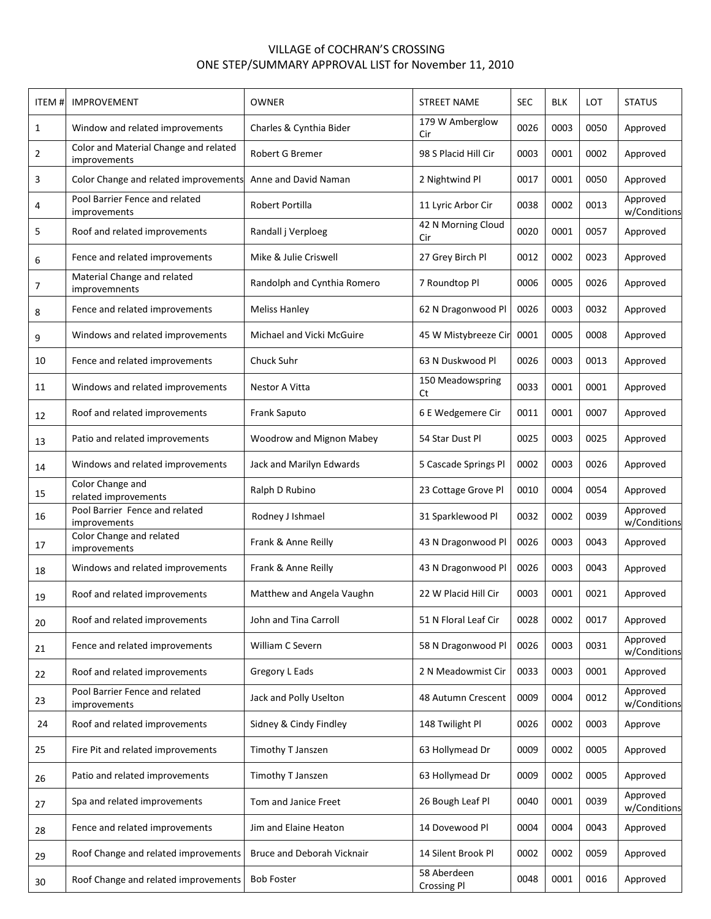## VILLAGE of COCHRAN'S CROSSING ONE STEP/SUMMARY APPROVAL LIST for November 11, 2010

| ITEM#        | <b>IMPROVEMENT</b>                                    | <b>OWNER</b>                | <b>STREET NAME</b>                | <b>SEC</b> | <b>BLK</b> | LOT  | <b>STATUS</b>            |
|--------------|-------------------------------------------------------|-----------------------------|-----------------------------------|------------|------------|------|--------------------------|
| $\mathbf{1}$ | Window and related improvements                       | Charles & Cynthia Bider     | 179 W Amberglow<br>Cir            | 0026       | 0003       | 0050 | Approved                 |
| 2            | Color and Material Change and related<br>improvements | Robert G Bremer             | 98 S Placid Hill Cir              | 0003       | 0001       | 0002 | Approved                 |
| 3            | Color Change and related improvements                 | Anne and David Naman        | 2 Nightwind Pl                    | 0017       | 0001       | 0050 | Approved                 |
| 4            | Pool Barrier Fence and related<br>improvements        | Robert Portilla             | 11 Lyric Arbor Cir                | 0038       | 0002       | 0013 | Approved<br>w/Conditions |
| 5            | Roof and related improvements                         | Randall j Verploeg          | 42 N Morning Cloud<br>Cir         | 0020       | 0001       | 0057 | Approved                 |
| 6            | Fence and related improvements                        | Mike & Julie Criswell       | 27 Grey Birch Pl                  | 0012       | 0002       | 0023 | Approved                 |
| 7            | Material Change and related<br>improvemnents          | Randolph and Cynthia Romero | 7 Roundtop Pl                     | 0006       | 0005       | 0026 | Approved                 |
| 8            | Fence and related improvements                        | <b>Meliss Hanley</b>        | 62 N Dragonwood Pl                | 0026       | 0003       | 0032 | Approved                 |
| 9            | Windows and related improvements                      | Michael and Vicki McGuire   | 45 W Mistybreeze Cir              | 0001       | 0005       | 0008 | Approved                 |
| 10           | Fence and related improvements                        | Chuck Suhr                  | 63 N Duskwood Pl                  | 0026       | 0003       | 0013 | Approved                 |
| 11           | Windows and related improvements                      | Nestor A Vitta              | 150 Meadowspring<br>Ct            | 0033       | 0001       | 0001 | Approved                 |
| 12           | Roof and related improvements                         | <b>Frank Saputo</b>         | 6 E Wedgemere Cir                 | 0011       | 0001       | 0007 | Approved                 |
| 13           | Patio and related improvements                        | Woodrow and Mignon Mabey    | 54 Star Dust Pl                   | 0025       | 0003       | 0025 | Approved                 |
| 14           | Windows and related improvements                      | Jack and Marilyn Edwards    | 5 Cascade Springs Pl              | 0002       | 0003       | 0026 | Approved                 |
| 15           | Color Change and<br>related improvements              | Ralph D Rubino              | 23 Cottage Grove Pl               | 0010       | 0004       | 0054 | Approved                 |
| 16           | Pool Barrier Fence and related<br>improvements        | Rodney J Ishmael            | 31 Sparklewood Pl                 | 0032       | 0002       | 0039 | Approved<br>w/Conditions |
| 17           | Color Change and related<br>improvements              | Frank & Anne Reilly         | 43 N Dragonwood Pl                | 0026       | 0003       | 0043 | Approved                 |
| 18           | Windows and related improvements                      | Frank & Anne Reilly         | 43 N Dragonwood Pl                | 0026       | 0003       | 0043 | Approved                 |
| 19           | Roof and related improvements                         | Matthew and Angela Vaughn   | 22 W Placid Hill Cir              | 0003       | 0001       | 0021 | Approved                 |
| 20           | Roof and related improvements                         | John and Tina Carroll       | 51 N Floral Leaf Cir              | 0028       | 0002       | 0017 | Approved                 |
| 21           | Fence and related improvements                        | William C Severn            | 58 N Dragonwood Pl                | 0026       | 0003       | 0031 | Approved<br>w/Conditions |
| 22           | Roof and related improvements                         | Gregory L Eads              | 2 N Meadowmist Cir                | 0033       | 0003       | 0001 | Approved                 |
| 23           | Pool Barrier Fence and related<br>improvements        | Jack and Polly Uselton      | 48 Autumn Crescent                | 0009       | 0004       | 0012 | Approved<br>w/Conditions |
| 24           | Roof and related improvements                         | Sidney & Cindy Findley      | 148 Twilight Pl                   | 0026       | 0002       | 0003 | Approve                  |
| 25           | Fire Pit and related improvements                     | Timothy T Janszen           | 63 Hollymead Dr                   | 0009       | 0002       | 0005 | Approved                 |
| 26           | Patio and related improvements                        | Timothy T Janszen           | 63 Hollymead Dr                   | 0009       | 0002       | 0005 | Approved                 |
| 27           | Spa and related improvements                          | Tom and Janice Freet        | 26 Bough Leaf Pl                  | 0040       | 0001       | 0039 | Approved<br>w/Conditions |
| 28           | Fence and related improvements                        | Jim and Elaine Heaton       | 14 Dovewood Pl                    | 0004       | 0004       | 0043 | Approved                 |
| 29           | Roof Change and related improvements                  | Bruce and Deborah Vicknair  | 14 Silent Brook Pl                | 0002       | 0002       | 0059 | Approved                 |
| 30           | Roof Change and related improvements                  | <b>Bob Foster</b>           | 58 Aberdeen<br><b>Crossing PI</b> | 0048       | 0001       | 0016 | Approved                 |